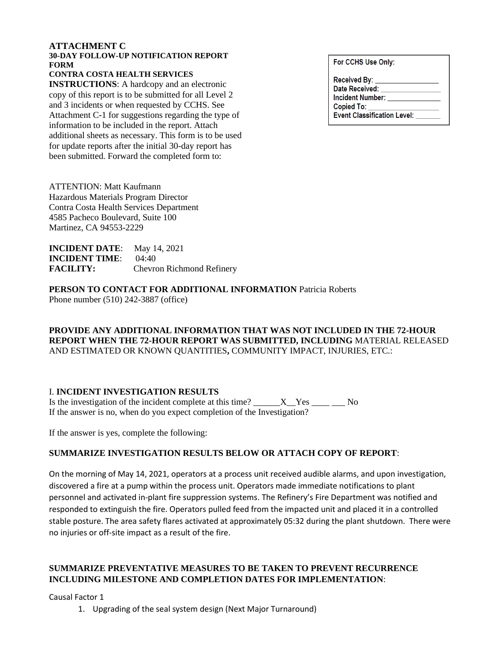### **ATTACHMENT C**

#### **30-DAY FOLLOW-UP NOTIFICATION REPORT FORM**

**CONTRA COSTA HEALTH SERVICES**

**INSTRUCTIONS:** A hardcopy and an electronic copy of this report is to be submitted for all Level 2 and 3 incidents or when requested by CCHS. See Attachment C-1 for suggestions regarding the type of information to be included in the report. Attach additional sheets as necessary. This form is to be used for update reports after the initial 30-day report has been submitted. Forward the completed form to:

For CCHS Use Only:

| Received By: _                     |
|------------------------------------|
| Date Received:                     |
| <b>Incident Number:</b>            |
| Copied To:                         |
| <b>Event Classification Level:</b> |

ATTENTION: Matt Kaufmann Hazardous Materials Program Director Contra Costa Health Services Department 4585 Pacheco Boulevard, Suite 100 Martinez, CA 94553-2229

| <b>INCIDENT DATE:</b> May 14, 2021 |                                  |
|------------------------------------|----------------------------------|
| <b>INCIDENT TIME:</b> $04:40$      |                                  |
| <b>FACILITY:</b>                   | <b>Chevron Richmond Refinery</b> |

**PERSON TO CONTACT FOR ADDITIONAL INFORMATION** Patricia Roberts Phone number (510) 242-3887 (office)

**PROVIDE ANY ADDITIONAL INFORMATION THAT WAS NOT INCLUDED IN THE 72-HOUR REPORT WHEN THE 72-HOUR REPORT WAS SUBMITTED, INCLUDING** MATERIAL RELEASED AND ESTIMATED OR KNOWN QUANTITIES**,** COMMUNITY IMPACT, INJURIES, ETC.:

#### I. **INCIDENT INVESTIGATION RESULTS**

Is the investigation of the incident complete at this time?  $\_\_\_\_X$  Yes  $\_\_\_\_\_N$ If the answer is no, when do you expect completion of the Investigation?

If the answer is yes, complete the following:

## **SUMMARIZE INVESTIGATION RESULTS BELOW OR ATTACH COPY OF REPORT**:

On the morning of May 14, 2021, operators at a process unit received audible alarms, and upon investigation, discovered a fire at a pump within the process unit. Operators made immediate notifications to plant personnel and activated in-plant fire suppression systems. The Refinery's Fire Department was notified and responded to extinguish the fire. Operators pulled feed from the impacted unit and placed it in a controlled stable posture. The area safety flares activated at approximately 05:32 during the plant shutdown. There were no injuries or off-site impact as a result of the fire.

# **SUMMARIZE PREVENTATIVE MEASURES TO BE TAKEN TO PREVENT RECURRENCE INCLUDING MILESTONE AND COMPLETION DATES FOR IMPLEMENTATION**:

Causal Factor 1

1. Upgrading of the seal system design (Next Major Turnaround)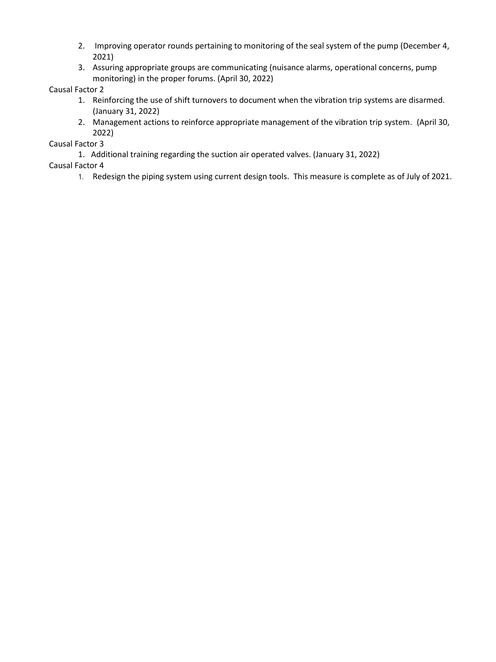- 2. Improving operator rounds pertaining to monitoring of the seal system of the pump (December 4, 2021)
- 3. Assuring appropriate groups are communicating (nuisance alarms, operational concerns, pump monitoring) in the proper forums. (April 30, 2022)

# Causal Factor 2

- 1. Reinforcing the use of shift turnovers to document when the vibration trip systems are disarmed. (January 31, 2022)
- 2. Management actions to reinforce appropriate management of the vibration trip system. (April 30, 2022)

Causal Factor 3

1. Additional training regarding the suction air operated valves. (January 31, 2022)

Causal Factor 4

1. Redesign the piping system using current design tools. This measure is complete as of July of 2021.